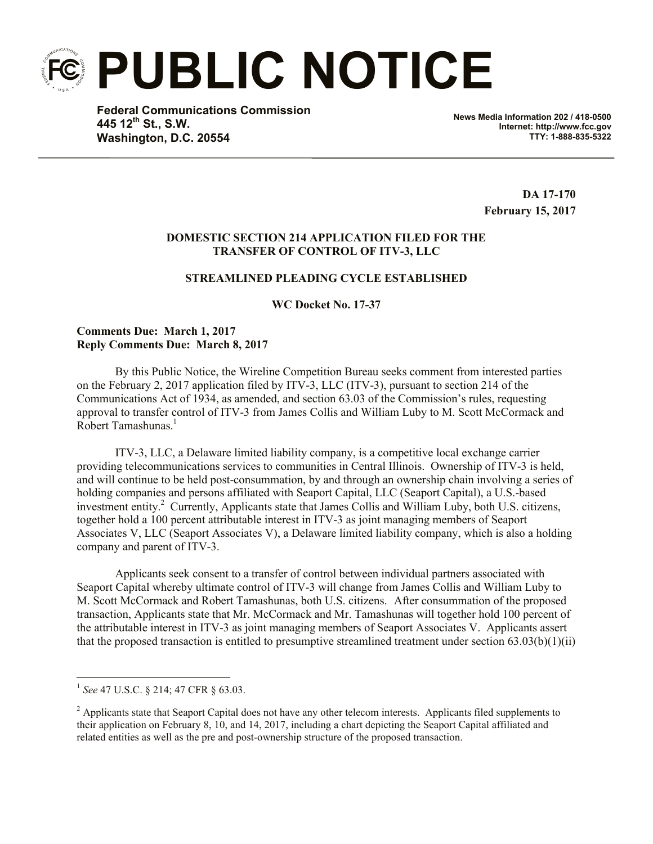**PUBLIC NOTICE**

**Federal Communications Commission 445 12th St., S.W. Washington, D.C. 20554**

**News Media Information 202 / 418-0500 Internet: http://www.fcc.gov TTY: 1-888-835-5322**

> **DA 17-170 February 15, 2017**

## **DOMESTIC SECTION 214 APPLICATION FILED FOR THE TRANSFER OF CONTROL OF ITV-3, LLC**

# **STREAMLINED PLEADING CYCLE ESTABLISHED**

**WC Docket No. 17-37**

#### **Comments Due: March 1, 2017 Reply Comments Due: March 8, 2017**

By this Public Notice, the Wireline Competition Bureau seeks comment from interested parties on the February 2, 2017 application filed by ITV-3, LLC (ITV-3), pursuant to section 214 of the Communications Act of 1934, as amended, and section 63.03 of the Commission's rules, requesting approval to transfer control of ITV-3 from James Collis and William Luby to M. Scott McCormack and Robert Tamashunas. 1

ITV-3, LLC, a Delaware limited liability company, is a competitive local exchange carrier providing telecommunications services to communities in Central Illinois. Ownership of ITV-3 is held, and will continue to be held post-consummation, by and through an ownership chain involving a series of holding companies and persons affiliated with Seaport Capital, LLC (Seaport Capital), a U.S.-based investment entity. <sup>2</sup> Currently, Applicants state that James Collis and William Luby, both U.S. citizens, together hold a 100 percent attributable interest in ITV-3 as joint managing members of Seaport Associates V, LLC (Seaport Associates V), a Delaware limited liability company, which is also a holding company and parent of ITV-3.

Applicants seek consent to a transfer of control between individual partners associated with Seaport Capital whereby ultimate control of ITV-3 will change from James Collis and William Luby to M. Scott McCormack and Robert Tamashunas, both U.S. citizens. After consummation of the proposed transaction, Applicants state that Mr. McCormack and Mr. Tamashunas will together hold 100 percent of the attributable interest in ITV-3 as joint managing members of Seaport Associates V. Applicants assert that the proposed transaction is entitled to presumptive streamlined treatment under section  $(63.03(b)(1)(ii))$ 

 $\overline{a}$ 1 *See* 47 U.S.C. § 214; 47 CFR § 63.03.

<sup>&</sup>lt;sup>2</sup> Applicants state that Seaport Capital does not have any other telecom interests. Applicants filed supplements to their application on February 8, 10, and 14, 2017, including a chart depicting the Seaport Capital affiliated and related entities as well as the pre and post-ownership structure of the proposed transaction.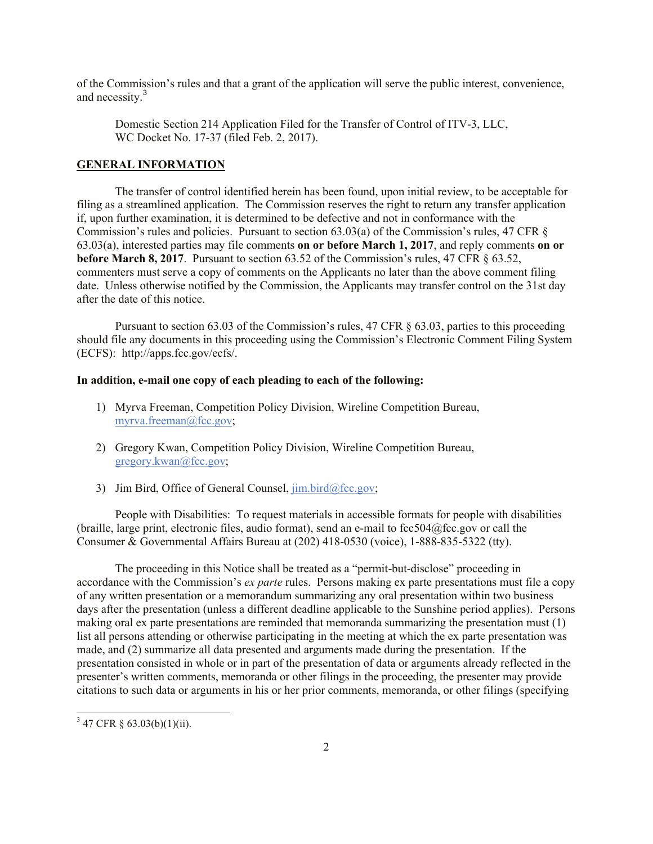of the Commission's rules and that a grant of the application will serve the public interest, convenience, and necessity.<sup>3</sup>

Domestic Section 214 Application Filed for the Transfer of Control of ITV-3, LLC, WC Docket No. 17-37 (filed Feb. 2, 2017).

## **GENERAL INFORMATION**

The transfer of control identified herein has been found, upon initial review, to be acceptable for filing as a streamlined application. The Commission reserves the right to return any transfer application if, upon further examination, it is determined to be defective and not in conformance with the Commission's rules and policies. Pursuant to section 63.03(a) of the Commission's rules, 47 CFR § 63.03(a), interested parties may file comments **on or before March 1, 2017**, and reply comments **on or before March 8, 2017**. Pursuant to section 63.52 of the Commission's rules, 47 CFR § 63.52, commenters must serve a copy of comments on the Applicants no later than the above comment filing date. Unless otherwise notified by the Commission, the Applicants may transfer control on the 31st day after the date of this notice.

Pursuant to section 63.03 of the Commission's rules, 47 CFR § 63.03, parties to this proceeding should file any documents in this proceeding using the Commission's Electronic Comment Filing System (ECFS): http://apps.fcc.gov/ecfs/.

## **In addition, e-mail one copy of each pleading to each of the following:**

- 1) Myrva Freeman, Competition Policy Division, Wireline Competition Bureau, myrva.freeman@fcc.gov;
- 2) Gregory Kwan, Competition Policy Division, Wireline Competition Bureau, gregory.kwan@fcc.gov;
- 3) Jim Bird, Office of General Counsel,  $\lim_{h \to 0} \frac{\text{bird}}{\text{det}}$

People with Disabilities: To request materials in accessible formats for people with disabilities (braille, large print, electronic files, audio format), send an e-mail to fcc504@fcc.gov or call the Consumer & Governmental Affairs Bureau at (202) 418-0530 (voice), 1-888-835-5322 (tty).

The proceeding in this Notice shall be treated as a "permit-but-disclose" proceeding in accordance with the Commission's *ex parte* rules. Persons making ex parte presentations must file a copy of any written presentation or a memorandum summarizing any oral presentation within two business days after the presentation (unless a different deadline applicable to the Sunshine period applies). Persons making oral ex parte presentations are reminded that memoranda summarizing the presentation must (1) list all persons attending or otherwise participating in the meeting at which the ex parte presentation was made, and (2) summarize all data presented and arguments made during the presentation. If the presentation consisted in whole or in part of the presentation of data or arguments already reflected in the presenter's written comments, memoranda or other filings in the proceeding, the presenter may provide citations to such data or arguments in his or her prior comments, memoranda, or other filings (specifying

 $\overline{a}$ 

 $3\,$  47 CFR § 63.03(b)(1)(ii).